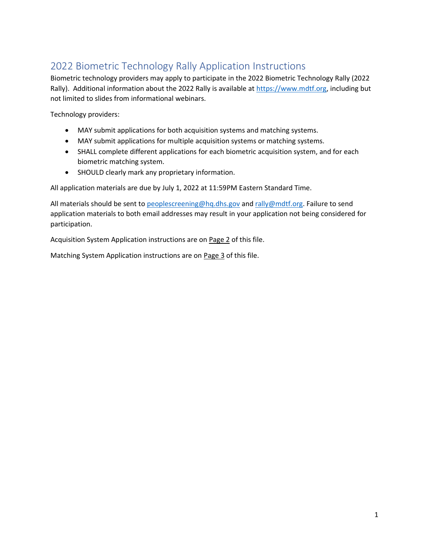## 2022 Biometric Technology Rally Application Instructions

Biometric technology providers may apply to participate in the 2022 Biometric Technology Rally (2022 Rally). Additional information about the 2022 Rally is available at [https://www.mdtf.org,](https://www.mdtf.org/) including but not limited to slides from informational webinars.

Technology providers:

- MAY submit applications for both acquisition systems and matching systems.
- MAY submit applications for multiple acquisition systems or matching systems.
- SHALL complete different applications for each biometric acquisition system, and for each biometric matching system.
- SHOULD clearly mark any proprietary information.

All application materials are due by July 1, 2022 at 11:59PM Eastern Standard Time.

All materials should be sent to [peoplescreening@hq.dhs.gov](mailto:peoplescreening@#hq.dhs.gov) and [rally@mdtf.org.](mailto:rally@mdtf.org) Failure to send application materials to both email addresses may result in your application not being considered for participation.

Acquisition System Application instructions are on Page 2 of this file.

Matching System Application instructions are on Page 3 of this file.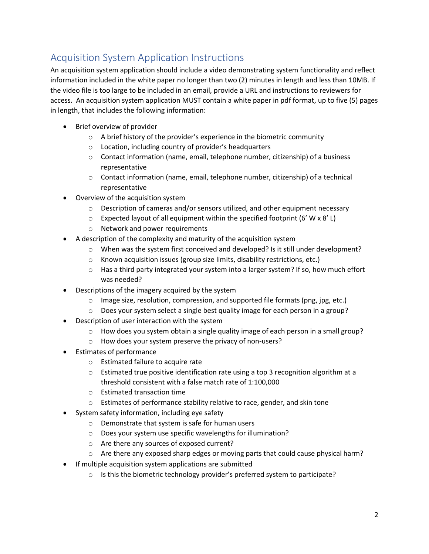## Acquisition System Application Instructions

An acquisition system application should include a video demonstrating system functionality and reflect information included in the white paper no longer than two (2) minutes in length and less than 10MB. If the video file is too large to be included in an email, provide a URL and instructions to reviewers for access. An acquisition system application MUST contain a white paper in pdf format, up to five (5) pages in length, that includes the following information:

- Brief overview of provider
	- o A brief history of the provider's experience in the biometric community
	- o Location, including country of provider's headquarters
	- o Contact information (name, email, telephone number, citizenship) of a business representative
	- $\circ$  Contact information (name, email, telephone number, citizenship) of a technical representative
- Overview of the acquisition system
	- $\circ$  Description of cameras and/or sensors utilized, and other equipment necessary
	- $\circ$  Expected layout of all equipment within the specified footprint (6' W x 8' L)
	- o Network and power requirements
- A description of the complexity and maturity of the acquisition system
	- $\circ$  When was the system first conceived and developed? Is it still under development?
	- o Known acquisition issues (group size limits, disability restrictions, etc.)
	- $\circ$  Has a third party integrated your system into a larger system? If so, how much effort was needed?
- Descriptions of the imagery acquired by the system
	- o Image size, resolution, compression, and supported file formats (png, jpg, etc.)
	- o Does your system select a single best quality image for each person in a group?
- Description of user interaction with the system
	- $\circ$  How does you system obtain a single quality image of each person in a small group?
	- o How does your system preserve the privacy of non-users?
- Estimates of performance
	- o Estimated failure to acquire rate
	- $\circ$  Estimated true positive identification rate using a top 3 recognition algorithm at a threshold consistent with a false match rate of 1:100,000
	- o Estimated transaction time
	- o Estimates of performance stability relative to race, gender, and skin tone
- System safety information, including eye safety
	- o Demonstrate that system is safe for human users
	- o Does your system use specific wavelengths for illumination?
	- o Are there any sources of exposed current?
	- $\circ$  Are there any exposed sharp edges or moving parts that could cause physical harm?
- If multiple acquisition system applications are submitted
	- $\circ$  Is this the biometric technology provider's preferred system to participate?